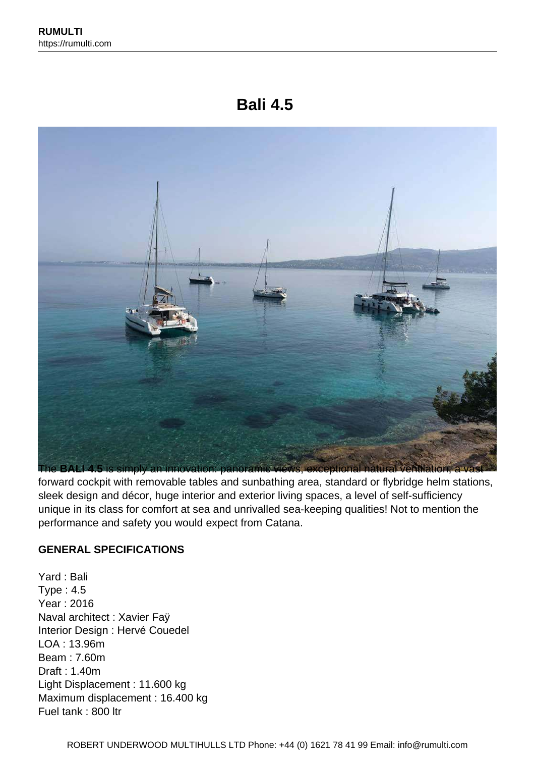# **Bali 4.5**



forward cockpit with removable tables and sunbathing area, standard or flybridge helm stations, sleek design and décor, huge interior and exterior living spaces, a level of self-sufficiency unique in its class for comfort at sea and unrivalled sea-keeping qualities! Not to mention the performance and safety you would expect from Catana.

#### **GENERAL SPECIFICATIONS**

Yard : Bali Type : 4.5 Year : 2016 Naval architect : Xavier Faÿ Interior Design : Hervé Couedel LOA : 13.96m Beam : 7.60m Draft : 1.40m Light Displacement : 11.600 kg Maximum displacement : 16.400 kg Fuel tank : 800 ltr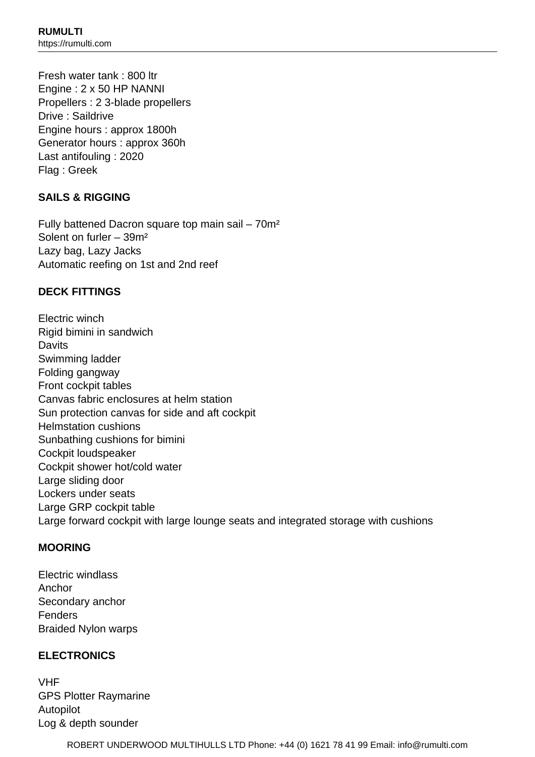Fresh water tank : 800 ltr Engine : 2 x 50 HP NANNI Propellers : 2 3-blade propellers Drive : Saildrive Engine hours : approx 1800h Generator hours : approx 360h Last antifouling : 2020 Flag : Greek

#### **SAILS & RIGGING**

Fully battened Dacron square top main sail – 70m² Solent on furler – 39m² Lazy bag, Lazy Jacks Automatic reefing on 1st and 2nd reef

#### **DECK FITTINGS**

Electric winch Rigid bimini in sandwich **Davits** Swimming ladder Folding gangway Front cockpit tables Canvas fabric enclosures at helm station Sun protection canvas for side and aft cockpit Helmstation cushions Sunbathing cushions for bimini Cockpit loudspeaker Cockpit shower hot/cold water Large sliding door Lockers under seats Large GRP cockpit table Large forward cockpit with large lounge seats and integrated storage with cushions

#### **MOORING**

Electric windlass Anchor Secondary anchor Fenders Braided Nylon warps

#### **ELECTRONICS**

VHF GPS Plotter Raymarine Autopilot Log & depth sounder